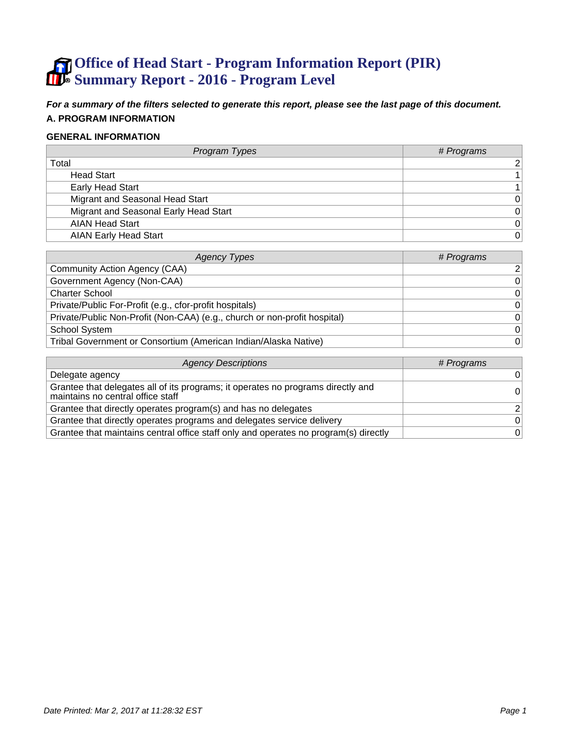# **Office of Head Start - Program Information Report (PIR) Summary Report - 2016 - Program Level**

**For a summary of the filters selected to generate this report, please see the last page of this document. A. PROGRAM INFORMATION**

#### **GENERAL INFORMATION**

| Program Types                         | # Programs     |
|---------------------------------------|----------------|
| Total                                 | $\overline{2}$ |
| <b>Head Start</b>                     |                |
| <b>Early Head Start</b>               |                |
| Migrant and Seasonal Head Start       | $\Omega$       |
| Migrant and Seasonal Early Head Start | $\Omega$       |
| <b>AIAN Head Start</b>                | 0              |
| <b>AIAN Early Head Start</b>          | $\overline{0}$ |

| <b>Agency Types</b>                                                       | # Programs     |
|---------------------------------------------------------------------------|----------------|
| Community Action Agency (CAA)                                             | $\overline{2}$ |
| Government Agency (Non-CAA)                                               | $\overline{0}$ |
| <b>Charter School</b>                                                     | $\overline{0}$ |
| Private/Public For-Profit (e.g., cfor-profit hospitals)                   | $\overline{0}$ |
| Private/Public Non-Profit (Non-CAA) (e.g., church or non-profit hospital) | $\Omega$       |
| <b>School System</b>                                                      | $\overline{0}$ |
| Tribal Government or Consortium (American Indian/Alaska Native)           | $\overline{0}$ |

| <b>Agency Descriptions</b>                                                                                            | # Programs     |
|-----------------------------------------------------------------------------------------------------------------------|----------------|
| Delegate agency                                                                                                       | 0              |
| Grantee that delegates all of its programs; it operates no programs directly and<br>maintains no central office staff |                |
| Grantee that directly operates program(s) and has no delegates                                                        | 2 <sup>1</sup> |
| Grantee that directly operates programs and delegates service delivery                                                | $\Omega$       |
| Grantee that maintains central office staff only and operates no program(s) directly                                  | 0              |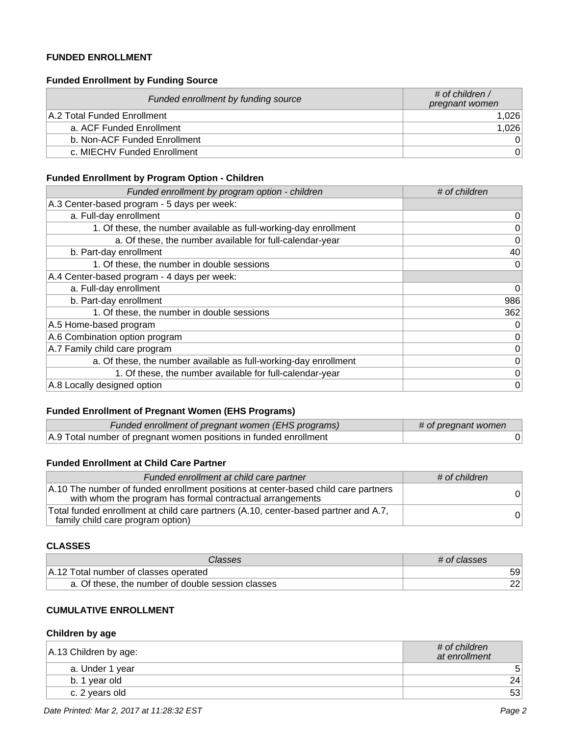### **FUNDED ENROLLMENT**

### **Funded Enrollment by Funding Source**

| Funded enrollment by funding source | # of children /<br>pregnant women |
|-------------------------------------|-----------------------------------|
| A.2 Total Funded Enrollment         | 1.026                             |
| a. ACF Funded Enrollment            | 1,026                             |
| b. Non-ACF Funded Enrollment        | $\Omega$                          |
| c. MIECHV Funded Enrollment         | $\Omega$                          |

#### **Funded Enrollment by Program Option - Children**

| Funded enrollment by program option - children                   | # of children |
|------------------------------------------------------------------|---------------|
| A.3 Center-based program - 5 days per week:                      |               |
| a. Full-day enrollment                                           | 0             |
| 1. Of these, the number available as full-working-day enrollment | 0             |
| a. Of these, the number available for full-calendar-year         | 0             |
| b. Part-day enrollment                                           | 40            |
| 1. Of these, the number in double sessions                       | 0             |
| A.4 Center-based program - 4 days per week:                      |               |
| a. Full-day enrollment                                           | 0             |
| b. Part-day enrollment                                           | 986           |
| 1. Of these, the number in double sessions                       | 362           |
| A.5 Home-based program                                           | 0             |
| A.6 Combination option program                                   | 0             |
| A.7 Family child care program                                    | 0             |
| a. Of these, the number available as full-working-day enrollment | 0             |
| 1. Of these, the number available for full-calendar-year         | 0             |
| A.8 Locally designed option                                      | 0             |

### **Funded Enrollment of Pregnant Women (EHS Programs)**

| Funded enrollment of pregnant women (EHS programs)                | # of pregnant women |
|-------------------------------------------------------------------|---------------------|
| A.9 Total number of pregnant women positions in funded enrollment |                     |

### **Funded Enrollment at Child Care Partner**

| Funded enrollment at child care partner                                                                                                         | # of children  |
|-------------------------------------------------------------------------------------------------------------------------------------------------|----------------|
| A.10 The number of funded enrollment positions at center-based child care partners<br>with whom the program has formal contractual arrangements | 0 <sup>1</sup> |
| Total funded enrollment at child care partners (A.10, center-based partner and A.7,<br>family child care program option)                        | 0              |

#### **CLASSES**

| Classes                                           | # of classes |
|---------------------------------------------------|--------------|
| A.12 Total number of classes operated             | 59           |
| a. Of these, the number of double session classes | 221          |

### **CUMULATIVE ENROLLMENT**

#### **Children by age**

| $ A.13$ Children by age: | # of children<br>at enrollment |
|--------------------------|--------------------------------|
| a. Under 1 year          | 5                              |
| b. 1 year old            | 24                             |
| c. 2 years old           | 53                             |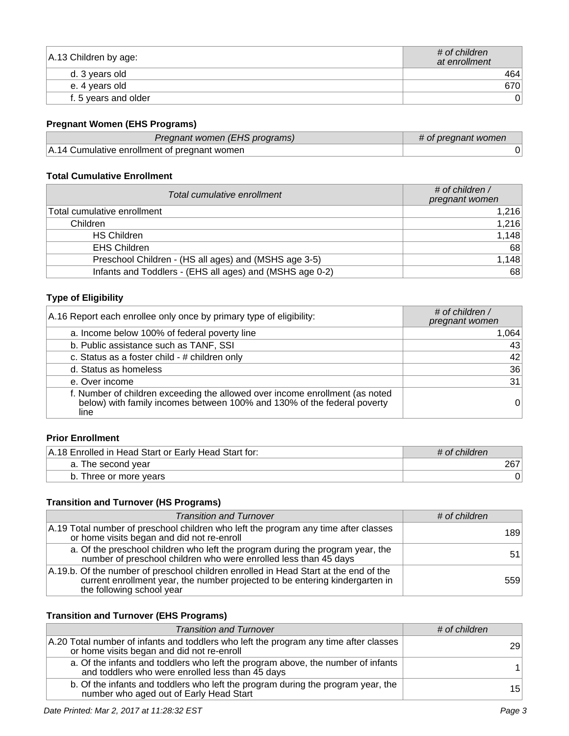| A.13 Children by age: | # of children<br>at enrollment |
|-----------------------|--------------------------------|
| d. 3 years old        | 4641                           |
| e. 4 years old        | 670                            |
| f. 5 years and older  |                                |

# **Pregnant Women (EHS Programs)**

| Pregnant women (EHS programs)                | # of pregnant women |
|----------------------------------------------|---------------------|
| A.14 Cumulative enrollment of pregnant women |                     |

### **Total Cumulative Enrollment**

| Total cumulative enrollment                              | # of children $\prime$<br>pregnant women |
|----------------------------------------------------------|------------------------------------------|
| Total cumulative enrollment                              | 1,216                                    |
| Children                                                 | 1,216                                    |
| <b>HS Children</b>                                       | 1,148                                    |
| <b>EHS Children</b>                                      | 68                                       |
| Preschool Children - (HS all ages) and (MSHS age 3-5)    | 1,148                                    |
| Infants and Toddlers - (EHS all ages) and (MSHS age 0-2) | 68                                       |

# **Type of Eligibility**

| A.16 Report each enrollee only once by primary type of eligibility:                                                                                          | # of children /<br>pregnant women |
|--------------------------------------------------------------------------------------------------------------------------------------------------------------|-----------------------------------|
| a. Income below 100% of federal poverty line                                                                                                                 | 1,064                             |
| b. Public assistance such as TANF, SSI                                                                                                                       | 43                                |
| c. Status as a foster child - # children only                                                                                                                | 42                                |
| d. Status as homeless                                                                                                                                        | 36                                |
| e. Over income                                                                                                                                               | 31                                |
| f. Number of children exceeding the allowed over income enrollment (as noted below) with family incomes between 100% and 130% of the federal poverty<br>line | 0                                 |

### **Prior Enrollment**

| A.18 Enrolled in Head Start or Early Head Start for: | $\#$ of children |
|------------------------------------------------------|------------------|
| a. The second year                                   | 267              |
| b. Three or more years                               |                  |

# **Transition and Turnover (HS Programs)**

| <b>Transition and Turnover</b>                                                                                                                                                                    | # of children |
|---------------------------------------------------------------------------------------------------------------------------------------------------------------------------------------------------|---------------|
| A.19 Total number of preschool children who left the program any time after classes<br>or home visits began and did not re-enroll                                                                 | 189           |
| a. Of the preschool children who left the program during the program year, the<br>number of preschool children who were enrolled less than 45 days                                                | 51            |
| A.19.b. Of the number of preschool children enrolled in Head Start at the end of the<br>current enrollment year, the number projected to be entering kindergarten in<br>the following school year | 559           |

# **Transition and Turnover (EHS Programs)**

| <b>Transition and Turnover</b>                                                                                                       | # of children   |
|--------------------------------------------------------------------------------------------------------------------------------------|-----------------|
| A.20 Total number of infants and toddlers who left the program any time after classes<br>or home visits began and did not re-enroll  | 29              |
| a. Of the infants and toddlers who left the program above, the number of infants<br>and toddlers who were enrolled less than 45 days |                 |
| b. Of the infants and toddlers who left the program during the program year, the<br>number who aged out of Early Head Start          | 15 <sup>1</sup> |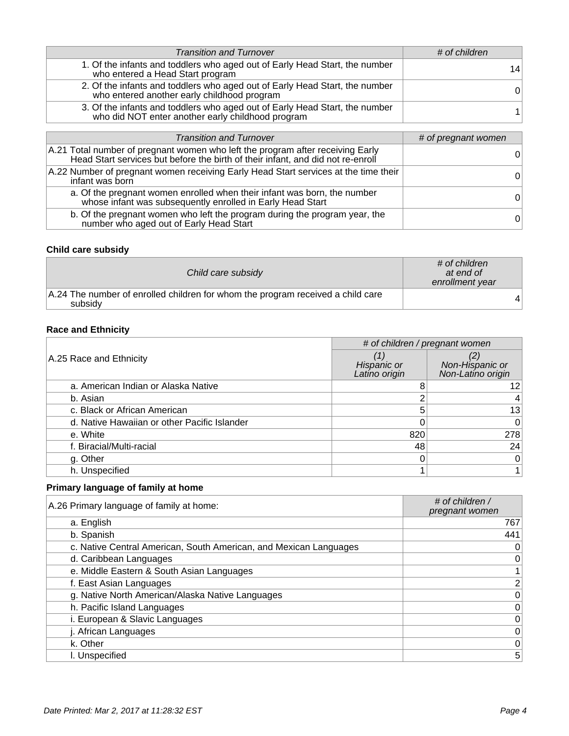| <b>Transition and Turnover</b>                                                                                                   | # of children |
|----------------------------------------------------------------------------------------------------------------------------------|---------------|
| 1. Of the infants and toddlers who aged out of Early Head Start, the number<br>who entered a Head Start program                  | 14            |
| 2. Of the infants and toddlers who aged out of Early Head Start, the number<br>who entered another early childhood program       | $\Omega$      |
| 3. Of the infants and toddlers who aged out of Early Head Start, the number<br>who did NOT enter another early childhood program |               |

| <b>Transition and Turnover</b>                                                                                                                                    | # of pregnant women |
|-------------------------------------------------------------------------------------------------------------------------------------------------------------------|---------------------|
| A.21 Total number of pregnant women who left the program after receiving Early<br>Head Start services but before the birth of their infant, and did not re-enroll | 0                   |
| A.22 Number of pregnant women receiving Early Head Start services at the time their<br>infant was born                                                            | $\Omega$            |
| a. Of the pregnant women enrolled when their infant was born, the number<br>whose infant was subsequently enrolled in Early Head Start                            | $\Omega$            |
| b. Of the pregnant women who left the program during the program year, the<br>number who aged out of Early Head Start                                             | $\overline{0}$      |

### **Child care subsidy**

| Child care subsidy                                                                         | # of children<br>at end of<br>enrollment year |
|--------------------------------------------------------------------------------------------|-----------------------------------------------|
| A.24 The number of enrolled children for whom the program received a child care<br>subsidy |                                               |

# **Race and Ethnicity**

| # of children / pregnant women               |                              |                                      |
|----------------------------------------------|------------------------------|--------------------------------------|
| A.25 Race and Ethnicity                      | Hispanic or<br>Latino origin | Non-Hispanic or<br>Non-Latino origin |
| a. American Indian or Alaska Native          |                              | 12                                   |
| b. Asian                                     |                              |                                      |
| c. Black or African American                 | 5                            | 13                                   |
| d. Native Hawaiian or other Pacific Islander |                              | 0                                    |
| e. White                                     | 820                          | 278                                  |
| f. Biracial/Multi-racial                     | 48                           | 24                                   |
| g. Other                                     |                              | 0                                    |
| h. Unspecified                               |                              |                                      |

# **Primary language of family at home**

| A.26 Primary language of family at home:                          | # of children /<br>pregnant women |
|-------------------------------------------------------------------|-----------------------------------|
| a. English                                                        | 767                               |
| b. Spanish                                                        | 441                               |
| c. Native Central American, South American, and Mexican Languages | 0                                 |
| d. Caribbean Languages                                            | 0                                 |
| e. Middle Eastern & South Asian Languages                         | $1\vert$                          |
| f. East Asian Languages                                           | $\mathbf{2}$                      |
| g. Native North American/Alaska Native Languages                  | $\vert 0 \vert$                   |
| h. Pacific Island Languages                                       | $\overline{0}$                    |
| i. European & Slavic Languages                                    | $\vert 0 \vert$                   |
| j. African Languages                                              | 0                                 |
| k. Other                                                          | $\overline{0}$                    |
| I. Unspecified                                                    | 5 <sup>5</sup>                    |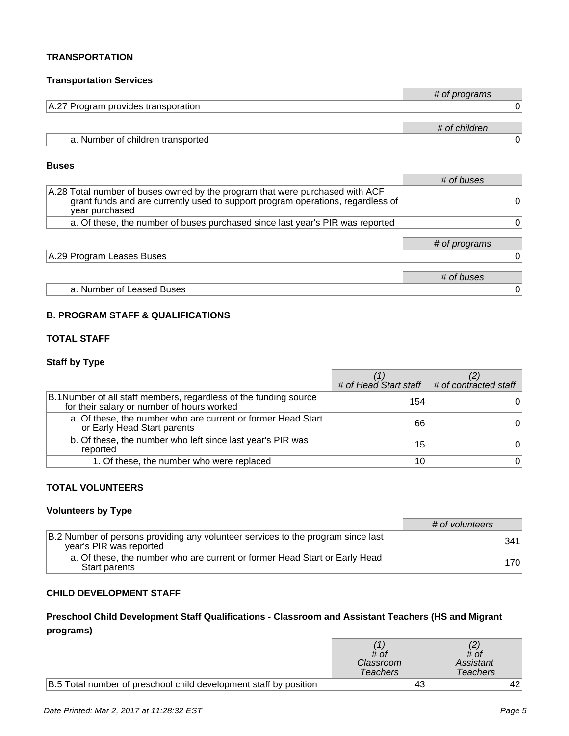#### **TRANSPORTATION**

#### **Transportation Services**

|                                     | # of programs |
|-------------------------------------|---------------|
| A.27 Program provides transporation |               |
|                                     | # of children |
| a. Number of children transported   |               |

#### **Buses**

|                                                                                                                                                                                   | # of buses    |
|-----------------------------------------------------------------------------------------------------------------------------------------------------------------------------------|---------------|
| A.28 Total number of buses owned by the program that were purchased with ACF<br>grant funds and are currently used to support program operations, regardless of<br>year purchased |               |
| a. Of these, the number of buses purchased since last year's PIR was reported                                                                                                     |               |
|                                                                                                                                                                                   |               |
|                                                                                                                                                                                   | # of programs |
| A.29 Program Leases Buses                                                                                                                                                         |               |
|                                                                                                                                                                                   |               |
|                                                                                                                                                                                   | # of buses    |
| a. Number of Leased Buses                                                                                                                                                         | 0             |

#### **B. PROGRAM STAFF & QUALIFICATIONS**

### **TOTAL STAFF**

#### **Staff by Type**

|                                                                                                                 | $\#$ of Head Start staff $\#$ of contracted staff |          |
|-----------------------------------------------------------------------------------------------------------------|---------------------------------------------------|----------|
| B.1 Number of all staff members, regardless of the funding source<br>for their salary or number of hours worked | 154                                               |          |
| a. Of these, the number who are current or former Head Start<br>or Early Head Start parents                     | 66                                                |          |
| b. Of these, the number who left since last year's PIR was<br>reported                                          | 15                                                |          |
| 1. Of these, the number who were replaced                                                                       | 10                                                | $\Omega$ |

### **TOTAL VOLUNTEERS**

### **Volunteers by Type**

|                                                                                                             | # of volunteers |
|-------------------------------------------------------------------------------------------------------------|-----------------|
| B.2 Number of persons providing any volunteer services to the program since last<br>year's PIR was reported | 341             |
| a. Of these, the number who are current or former Head Start or Early Head<br>Start parents                 | 1701            |

### **CHILD DEVELOPMENT STAFF**

### **Preschool Child Development Staff Qualifications - Classroom and Assistant Teachers (HS and Migrant programs)**

|                                                                   | # of<br>Classroom<br><b>Teachers</b> | # of<br>Assistant<br>Teachers |
|-------------------------------------------------------------------|--------------------------------------|-------------------------------|
| B.5 Total number of preschool child development staff by position | 43                                   |                               |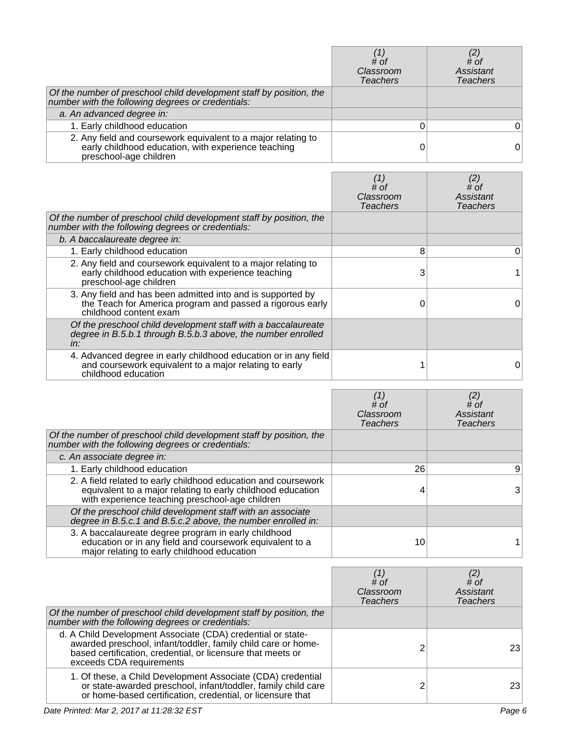|                                                                                                                                                | # of<br>Classroom<br><b>Teachers</b> | # of<br>Assistant<br><b>Teachers</b> |
|------------------------------------------------------------------------------------------------------------------------------------------------|--------------------------------------|--------------------------------------|
| Of the number of preschool child development staff by position, the number with the following degrees or credentials:                          |                                      |                                      |
| a. An advanced degree in:                                                                                                                      |                                      |                                      |
| 1. Early childhood education                                                                                                                   |                                      | 0                                    |
| 2. Any field and coursework equivalent to a major relating to<br>early childhood education, with experience teaching<br>preschool-age children |                                      |                                      |

|                                                                                                                                                    | $^{\prime}$ 1<br># of<br>Classroom<br>Teachers | # of<br>Assistant<br><b>Teachers</b> |
|----------------------------------------------------------------------------------------------------------------------------------------------------|------------------------------------------------|--------------------------------------|
| Of the number of preschool child development staff by position, the<br>number with the following degrees or credentials:                           |                                                |                                      |
| b. A baccalaureate degree in:                                                                                                                      |                                                |                                      |
| 1. Early childhood education                                                                                                                       | 8                                              | 0                                    |
| 2. Any field and coursework equivalent to a major relating to<br>early childhood education with experience teaching<br>preschool-age children      | 3                                              |                                      |
| 3. Any field and has been admitted into and is supported by<br>the Teach for America program and passed a rigorous early<br>childhood content exam |                                                | 0                                    |
| Of the preschool child development staff with a baccalaureate<br>degree in B.5.b.1 through B.5.b.3 above, the number enrolled<br>in:               |                                                |                                      |
| 4. Advanced degree in early childhood education or in any field<br>and coursework equivalent to a major relating to early<br>childhood education   |                                                |                                      |

|                                                                                                                                                                                  | # of<br>Classroom<br>Teachers | (2)<br># of<br>Assistant<br><b>Teachers</b> |
|----------------------------------------------------------------------------------------------------------------------------------------------------------------------------------|-------------------------------|---------------------------------------------|
| Of the number of preschool child development staff by position, the<br>number with the following degrees or credentials:                                                         |                               |                                             |
| c. An associate degree in:                                                                                                                                                       |                               |                                             |
| 1. Early childhood education                                                                                                                                                     | 26                            | 9                                           |
| 2. A field related to early childhood education and coursework<br>equivalent to a major relating to early childhood education<br>with experience teaching preschool-age children |                               | 3                                           |
| Of the preschool child development staff with an associate<br>degree in B.5.c.1 and B.5.c.2 above, the number enrolled in:                                                       |                               |                                             |
| 3. A baccalaureate degree program in early childhood<br>education or in any field and coursework equivalent to a<br>major relating to early childhood education                  | 10                            |                                             |

|                                                                                                                                                                                                                         | $#$ of<br>Classroom<br><b>Teachers</b> | # of<br>Assistant<br><b>Teachers</b> |
|-------------------------------------------------------------------------------------------------------------------------------------------------------------------------------------------------------------------------|----------------------------------------|--------------------------------------|
| Of the number of preschool child development staff by position, the<br>number with the following degrees or credentials:                                                                                                |                                        |                                      |
| d. A Child Development Associate (CDA) credential or state-<br>awarded preschool, infant/toddler, family child care or home-<br>based certification, credential, or licensure that meets or<br>exceeds CDA requirements | ົ                                      | 23                                   |
| 1. Of these, a Child Development Associate (CDA) credential<br>or state-awarded preschool, infant/toddler, family child care<br>or home-based certification, credential, or licensure that                              |                                        | 23                                   |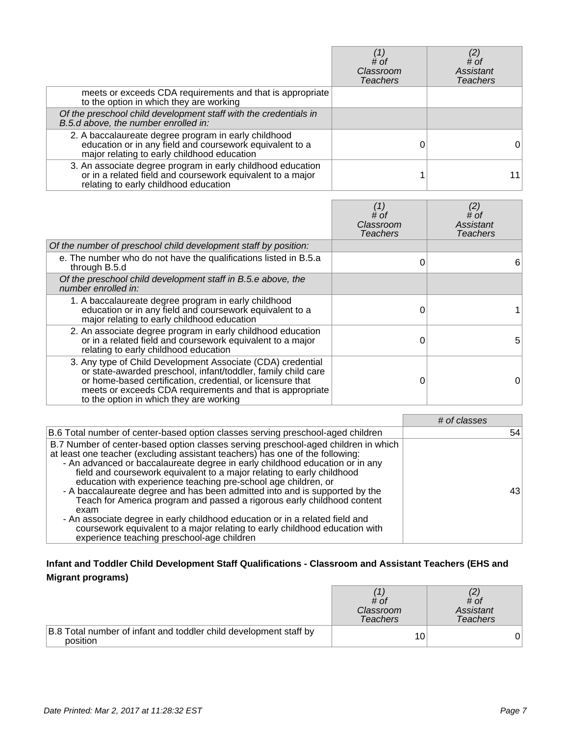|                                                                                                                                                                    | # of<br>Classroom<br><b>Teachers</b> | # of<br><b>Assistant</b><br>Teachers |
|--------------------------------------------------------------------------------------------------------------------------------------------------------------------|--------------------------------------|--------------------------------------|
| meets or exceeds CDA requirements and that is appropriate<br>to the option in which they are working                                                               |                                      |                                      |
| Of the preschool child development staff with the credentials in<br>B.5.d above, the number enrolled in:                                                           |                                      |                                      |
| 2. A baccalaureate degree program in early childhood<br>education or in any field and coursework equivalent to a<br>major relating to early childhood education    |                                      | 0                                    |
| 3. An associate degree program in early childhood education<br>or in a related field and coursework equivalent to a major<br>relating to early childhood education |                                      |                                      |

|                                                                                                                                                                                                                                                                                                    | $^{\prime}$ 1.<br># of<br>Classroom<br>Teachers | (2)<br># of<br>Assistant<br><b>Teachers</b> |
|----------------------------------------------------------------------------------------------------------------------------------------------------------------------------------------------------------------------------------------------------------------------------------------------------|-------------------------------------------------|---------------------------------------------|
| Of the number of preschool child development staff by position:                                                                                                                                                                                                                                    |                                                 |                                             |
| e. The number who do not have the qualifications listed in B.5.a.<br>through B.5.d                                                                                                                                                                                                                 |                                                 | 6                                           |
| Of the preschool child development staff in B.5.e above, the<br>number enrolled in:                                                                                                                                                                                                                |                                                 |                                             |
| 1. A baccalaureate degree program in early childhood<br>education or in any field and coursework equivalent to a<br>major relating to early childhood education                                                                                                                                    |                                                 |                                             |
| 2. An associate degree program in early childhood education<br>or in a related field and coursework equivalent to a major<br>relating to early childhood education                                                                                                                                 |                                                 | 5                                           |
| 3. Any type of Child Development Associate (CDA) credential<br>or state-awarded preschool, infant/toddler, family child care<br>or home-based certification, credential, or licensure that<br>meets or exceeds CDA requirements and that is appropriate<br>to the option in which they are working |                                                 | 0                                           |

|                                                                                                                                                                                                                                                                                                                                                                                                                                                                                                                                                                                                                                                                                                                                                                                | # of classes |
|--------------------------------------------------------------------------------------------------------------------------------------------------------------------------------------------------------------------------------------------------------------------------------------------------------------------------------------------------------------------------------------------------------------------------------------------------------------------------------------------------------------------------------------------------------------------------------------------------------------------------------------------------------------------------------------------------------------------------------------------------------------------------------|--------------|
| B.6 Total number of center-based option classes serving preschool-aged children                                                                                                                                                                                                                                                                                                                                                                                                                                                                                                                                                                                                                                                                                                | 54           |
| B.7 Number of center-based option classes serving preschool-aged children in which<br>at least one teacher (excluding assistant teachers) has one of the following:<br>- An advanced or baccalaureate degree in early childhood education or in any<br>field and coursework equivalent to a major relating to early childhood<br>education with experience teaching pre-school age children, or<br>- A baccalaureate degree and has been admitted into and is supported by the<br>Teach for America program and passed a rigorous early childhood content<br>exam<br>- An associate degree in early childhood education or in a related field and<br>coursework equivalent to a major relating to early childhood education with<br>experience teaching preschool-age children | 431          |

# **Infant and Toddler Child Development Staff Qualifications - Classroom and Assistant Teachers (EHS and Migrant programs)**

|                                                                               | # of<br>Classroom<br><b>Teachers</b> | # of<br>Assistant<br>Teachers |
|-------------------------------------------------------------------------------|--------------------------------------|-------------------------------|
| B.8 Total number of infant and toddler child development staff by<br>position | 10.                                  |                               |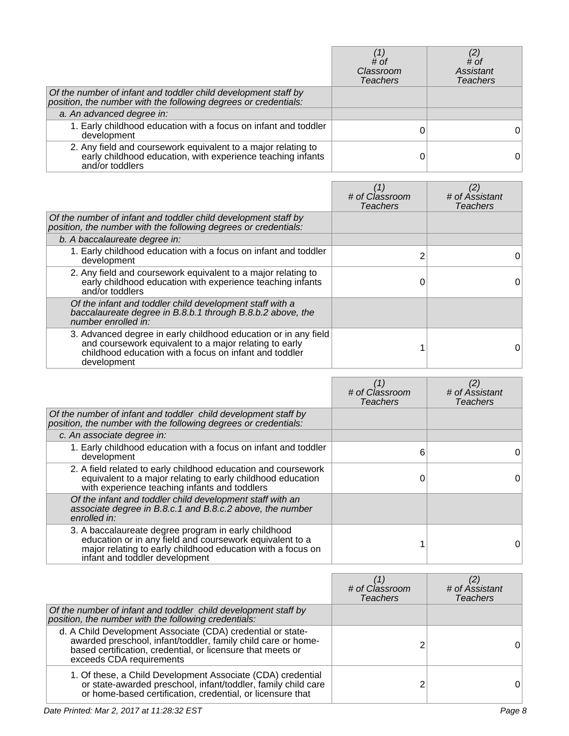|                                                                                                                                                 | # of<br>Classroom<br><b>Teachers</b> | # of<br>Assistant<br><b>Teachers</b> |
|-------------------------------------------------------------------------------------------------------------------------------------------------|--------------------------------------|--------------------------------------|
| Of the number of infant and toddler child development staff by<br>position, the number with the following degrees or credentials:               |                                      |                                      |
| a. An advanced degree in:                                                                                                                       |                                      |                                      |
| 1. Early childhood education with a focus on infant and toddler<br>development                                                                  |                                      |                                      |
| 2. Any field and coursework equivalent to a major relating to<br>early childhood education, with experience teaching infants<br>and/or toddlers |                                      | 0                                    |

|                                                                                                                                                                                                    | # of Classroom<br><b>Teachers</b> | (2)<br># of Assistant<br><b>Teachers</b> |
|----------------------------------------------------------------------------------------------------------------------------------------------------------------------------------------------------|-----------------------------------|------------------------------------------|
| Of the number of infant and toddler child development staff by<br>position, the number with the following degrees or credentials:                                                                  |                                   |                                          |
| b. A baccalaureate degree in:                                                                                                                                                                      |                                   |                                          |
| 1. Early childhood education with a focus on infant and toddler<br>development                                                                                                                     | 2                                 | 0                                        |
| 2. Any field and coursework equivalent to a major relating to<br>early childhood education with experience teaching infants<br>and/or toddlers                                                     |                                   | 0                                        |
| Of the infant and toddler child development staff with a<br>baccalaureate degree in B.8.b.1 through B.8.b.2 above, the<br>number enrolled in:                                                      |                                   |                                          |
| 3. Advanced degree in early childhood education or in any field<br>and coursework equivalent to a major relating to early<br>childhood education with a focus on infant and toddler<br>development |                                   | 0                                        |

|                                                                                                                                                                                                                   | # of Classroom<br><b>Teachers</b> | # of Assistant<br><b>Teachers</b> |
|-------------------------------------------------------------------------------------------------------------------------------------------------------------------------------------------------------------------|-----------------------------------|-----------------------------------|
| Of the number of infant and toddler child development staff by<br>position, the number with the following degrees or credentials:                                                                                 |                                   |                                   |
| c. An associate degree in:                                                                                                                                                                                        |                                   |                                   |
| 1. Early childhood education with a focus on infant and toddler<br>development                                                                                                                                    | 6                                 | 0                                 |
| 2. A field related to early childhood education and coursework<br>equivalent to a major relating to early childhood education<br>with experience teaching infants and toddlers                                    |                                   | 0                                 |
| Of the infant and toddler child development staff with an<br>associate degree in B.8.c.1 and B.8.c.2 above, the number<br>enrolled in:                                                                            |                                   |                                   |
| 3. A baccalaureate degree program in early childhood<br>education or in any field and coursework equivalent to a<br>major relating to early childhood education with a focus on<br>infant and toddler development |                                   | 0                                 |

|                                                                                                                                                                                                                         | # of Classroom<br><b>Teachers</b> | # of Assistant<br>Teachers |
|-------------------------------------------------------------------------------------------------------------------------------------------------------------------------------------------------------------------------|-----------------------------------|----------------------------|
| Of the number of infant and toddler child development staff by<br>position, the number with the following credentials:                                                                                                  |                                   |                            |
| d. A Child Development Associate (CDA) credential or state-<br>awarded preschool, infant/toddler, family child care or home-<br>based certification, credential, or licensure that meets or<br>exceeds CDA requirements |                                   |                            |
| 1. Of these, a Child Development Associate (CDA) credential<br>or state-awarded preschool, infant/toddler, family child care<br>or home-based certification, credential, or licensure that                              |                                   |                            |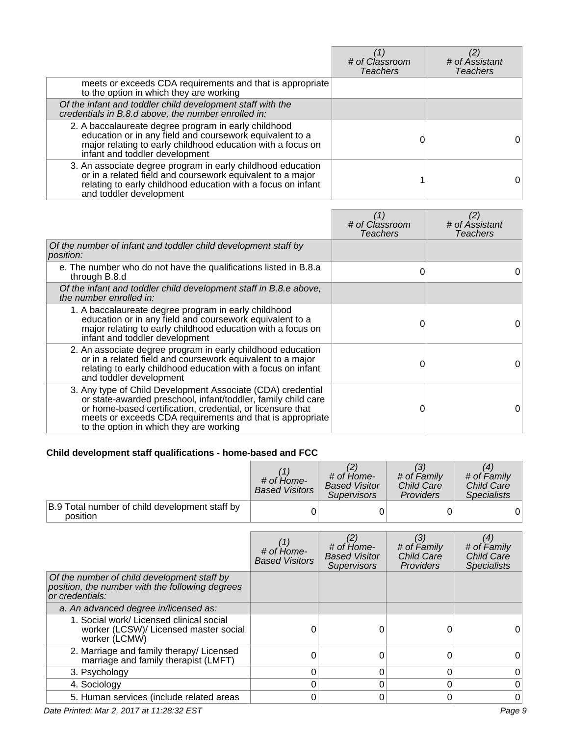|                                                                                                                                                                                                                      | # of Classroom<br><b>Teachers</b> | # of Assistant<br><b>Teachers</b> |
|----------------------------------------------------------------------------------------------------------------------------------------------------------------------------------------------------------------------|-----------------------------------|-----------------------------------|
| meets or exceeds CDA requirements and that is appropriate<br>to the option in which they are working                                                                                                                 |                                   |                                   |
| Of the infant and toddler child development staff with the<br>credentials in B.8.d above, the number enrolled in:                                                                                                    |                                   |                                   |
| 2. A baccalaureate degree program in early childhood<br>education or in any field and coursework equivalent to a<br>major relating to early childhood education with a focus on<br>infant and toddler development    |                                   |                                   |
| 3. An associate degree program in early childhood education<br>or in a related field and coursework equivalent to a major<br>relating to early childhood education with a focus on infant<br>and toddler development |                                   |                                   |

|                                                                                                                                                                                                                                                                                                    | $\left( 1\right)$<br># of Classroom<br><b>Teachers</b> | (2)<br># of Assistant<br><b>Teachers</b> |
|----------------------------------------------------------------------------------------------------------------------------------------------------------------------------------------------------------------------------------------------------------------------------------------------------|--------------------------------------------------------|------------------------------------------|
| Of the number of infant and toddler child development staff by<br><i>position:</i>                                                                                                                                                                                                                 |                                                        |                                          |
| e. The number who do not have the qualifications listed in B.8.a<br>through B.8.d                                                                                                                                                                                                                  | 0                                                      | $\Omega$                                 |
| Of the infant and toddler child development staff in B.8.e above,<br>the number enrolled in:                                                                                                                                                                                                       |                                                        |                                          |
| 1. A baccalaureate degree program in early childhood<br>education or in any field and coursework equivalent to a<br>major relating to early childhood education with a focus on<br>infant and toddler development                                                                                  | 0                                                      | 0                                        |
| 2. An associate degree program in early childhood education<br>or in a related field and coursework equivalent to a major<br>relating to early childhood education with a focus on infant<br>and toddler development                                                                               | 0                                                      | 0                                        |
| 3. Any type of Child Development Associate (CDA) credential<br>or state-awarded preschool, infant/toddler, family child care<br>or home-based certification, credential, or licensure that<br>meets or exceeds CDA requirements and that is appropriate<br>to the option in which they are working | ი                                                      | 0                                        |

# **Child development staff qualifications - home-based and FCC**

|                                                            | # of Home-<br><b>Based Visitors</b> | # of Home-<br><b>Based Visitor</b><br><b>Supervisors</b> | # of Family<br>Child Care<br><b>Providers</b> | # of Family<br><b>Child Care</b><br><b>Specialists</b> |
|------------------------------------------------------------|-------------------------------------|----------------------------------------------------------|-----------------------------------------------|--------------------------------------------------------|
| B.9 Total number of child development staff by<br>position |                                     |                                                          |                                               |                                                        |

|                                                                                                                   | $#$ of $Hom$ $e$ -<br><b>Based Visitors</b> | $#$ of $Hom$ $e$ -<br><b>Based Visitor</b><br><b>Supervisors</b> | (3)<br># of Family<br>Child Care<br>Providers | (4)<br># of Family<br>Child Care<br><b>Specialists</b> |
|-------------------------------------------------------------------------------------------------------------------|---------------------------------------------|------------------------------------------------------------------|-----------------------------------------------|--------------------------------------------------------|
| Of the number of child development staff by<br>position, the number with the following degrees<br>or credentials: |                                             |                                                                  |                                               |                                                        |
| a. An advanced degree in/licensed as:                                                                             |                                             |                                                                  |                                               |                                                        |
| 1. Social work/ Licensed clinical social<br>worker (LCSW)/ Licensed master social<br>worker (LCMW)                |                                             | 0                                                                |                                               |                                                        |
| 2. Marriage and family therapy/ Licensed<br>marriage and family therapist (LMFT)                                  | ი                                           |                                                                  |                                               |                                                        |
| 3. Psychology                                                                                                     | 0                                           | $\Omega$                                                         |                                               |                                                        |
| 4. Sociology                                                                                                      |                                             | 0                                                                |                                               |                                                        |
| 5. Human services (include related areas                                                                          | 0                                           | 0                                                                |                                               | 0                                                      |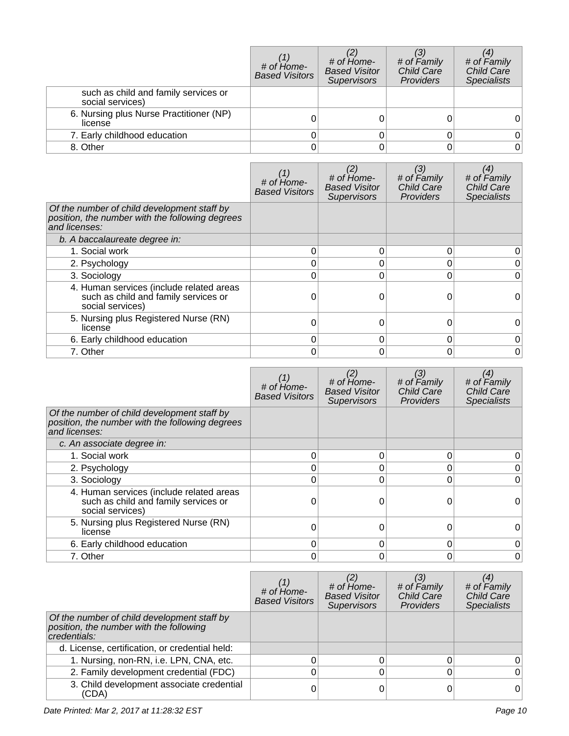|                                                          | # of Home-<br><b>Based Visitors</b> | # of Home-<br><b>Based Visitor</b><br><b>Supervisors</b> | # of Family<br>Child Care<br>Providers | # of Family<br>Child Care<br><b>Specialists</b> |
|----------------------------------------------------------|-------------------------------------|----------------------------------------------------------|----------------------------------------|-------------------------------------------------|
| such as child and family services or<br>social services) |                                     |                                                          |                                        |                                                 |
| 6. Nursing plus Nurse Practitioner (NP)<br>license       |                                     |                                                          |                                        |                                                 |
| 7. Early childhood education                             |                                     |                                                          |                                        |                                                 |
| 8. Other                                                 |                                     |                                                          |                                        | 0                                               |

|                                                                                                                 | # of Home-<br><b>Based Visitors</b> | $#$ of $Hom$ $e$ -<br><b>Based Visitor</b><br><b>Supervisors</b> | (3)<br># of Family<br><b>Child Care</b><br>Providers | (4)<br># of Family<br><b>Child Care</b><br><b>Specialists</b> |
|-----------------------------------------------------------------------------------------------------------------|-------------------------------------|------------------------------------------------------------------|------------------------------------------------------|---------------------------------------------------------------|
| Of the number of child development staff by<br>position, the number with the following degrees<br>and licenses: |                                     |                                                                  |                                                      |                                                               |
| b. A baccalaureate degree in:                                                                                   |                                     |                                                                  |                                                      |                                                               |
| 1. Social work                                                                                                  | 0                                   | 0                                                                |                                                      |                                                               |
| 2. Psychology                                                                                                   | 0                                   | 0                                                                |                                                      |                                                               |
| 3. Sociology                                                                                                    | 0                                   | 0                                                                |                                                      | 0                                                             |
| 4. Human services (include related areas<br>such as child and family services or<br>social services)            |                                     | 0                                                                |                                                      |                                                               |
| 5. Nursing plus Registered Nurse (RN)<br>license                                                                | 0                                   | 0                                                                |                                                      | 0                                                             |
| 6. Early childhood education                                                                                    | 0                                   | 0                                                                |                                                      | 0                                                             |
| 7. Other                                                                                                        | 0                                   | 0                                                                |                                                      | 0                                                             |

|                                                                                                                 | # of Home-<br><b>Based Visitors</b> | # of Home-<br><b>Based Visitor</b><br><b>Supervisors</b> | (3)<br># of Family<br><b>Child Care</b><br>Providers | (4)<br># of Family<br><b>Child Care</b><br><b>Specialists</b> |
|-----------------------------------------------------------------------------------------------------------------|-------------------------------------|----------------------------------------------------------|------------------------------------------------------|---------------------------------------------------------------|
| Of the number of child development staff by<br>position, the number with the following degrees<br>and licenses: |                                     |                                                          |                                                      |                                                               |
| c. An associate degree in:                                                                                      |                                     |                                                          |                                                      |                                                               |
| 1. Social work                                                                                                  | 0                                   | 0                                                        |                                                      |                                                               |
| 2. Psychology                                                                                                   | ი                                   | 0                                                        |                                                      |                                                               |
| 3. Sociology                                                                                                    | 0                                   | 0                                                        |                                                      |                                                               |
| 4. Human services (include related areas<br>such as child and family services or<br>social services)            |                                     | 0                                                        |                                                      |                                                               |
| 5. Nursing plus Registered Nurse (RN)<br>license                                                                | 0                                   | 0                                                        |                                                      | 0                                                             |
| 6. Early childhood education                                                                                    | 0                                   | 0                                                        |                                                      |                                                               |
| 7. Other                                                                                                        | 0                                   | 0                                                        |                                                      |                                                               |

|                                                                                                        | $#$ of $H$ <sub>ome</sub> -<br><b>Based Visitors</b> | # of Home-<br><b>Based Visitor</b><br><b>Supervisors</b> | # of Family<br><b>Child Care</b><br><b>Providers</b> | # of Family<br><b>Child Care</b><br><b>Specialists</b> |
|--------------------------------------------------------------------------------------------------------|------------------------------------------------------|----------------------------------------------------------|------------------------------------------------------|--------------------------------------------------------|
| Of the number of child development staff by<br>position, the number with the following<br>credentials: |                                                      |                                                          |                                                      |                                                        |
| d. License, certification, or credential held:                                                         |                                                      |                                                          |                                                      |                                                        |
| 1. Nursing, non-RN, i.e. LPN, CNA, etc.                                                                |                                                      |                                                          |                                                      |                                                        |
| 2. Family development credential (FDC)                                                                 | 0                                                    |                                                          |                                                      |                                                        |
| 3. Child development associate credential<br>(CDA)                                                     | ი                                                    |                                                          |                                                      |                                                        |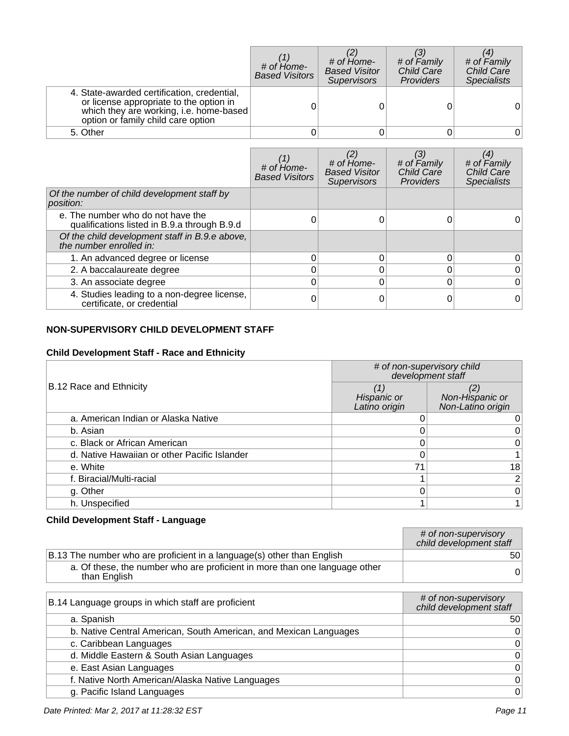|                                                                                                                                                                         | # of Home-<br><b>Based Visitors</b> | # of Home-<br><b>Based Visitor</b><br><b>Supervisors</b> | # of Family<br><b>Child Care</b><br><b>Providers</b> | # of Family<br><b>Child Care</b><br><b>Specialists</b> |
|-------------------------------------------------------------------------------------------------------------------------------------------------------------------------|-------------------------------------|----------------------------------------------------------|------------------------------------------------------|--------------------------------------------------------|
| 4. State-awarded certification, credential,<br>or license appropriate to the option in<br>which they are working, i.e. home-based<br>option or family child care option |                                     |                                                          |                                                      | 0                                                      |
| 5. Other                                                                                                                                                                |                                     |                                                          |                                                      |                                                        |

|                                                                                   | $#$ of $Hom$ $e$ -<br><b>Based Visitors</b> | $#$ of $H$ <sub>ome</sub> -<br><b>Based Visitor</b><br><b>Supervisors</b> | # of Family<br><b>Child Care</b><br>Providers | # of Family<br><b>Child Care</b><br><b>Specialists</b> |
|-----------------------------------------------------------------------------------|---------------------------------------------|---------------------------------------------------------------------------|-----------------------------------------------|--------------------------------------------------------|
| Of the number of child development staff by<br>position:                          |                                             |                                                                           |                                               |                                                        |
| e. The number who do not have the<br>qualifications listed in B.9.a through B.9.d |                                             |                                                                           |                                               |                                                        |
| Of the child development staff in B.9.e above,<br>the number enrolled in:         |                                             |                                                                           |                                               |                                                        |
| 1. An advanced degree or license                                                  |                                             | 0                                                                         |                                               | 0                                                      |
| 2. A baccalaureate degree                                                         |                                             | በ                                                                         |                                               |                                                        |
| 3. An associate degree                                                            |                                             | 0                                                                         |                                               |                                                        |
| 4. Studies leading to a non-degree license,<br>certificate, or credential         |                                             |                                                                           |                                               | 0                                                      |

# **NON-SUPERVISORY CHILD DEVELOPMENT STAFF**

# **Child Development Staff - Race and Ethnicity**

| # of non-supervisory child<br>development staff |                                     |                                      |
|-------------------------------------------------|-------------------------------------|--------------------------------------|
| B.12 Race and Ethnicity                         | (1)<br>Hispanic or<br>Latino origin | Non-Hispanic or<br>Non-Latino origin |
| a. American Indian or Alaska Native             |                                     |                                      |
| b. Asian                                        |                                     |                                      |
| c. Black or African American                    |                                     |                                      |
| d. Native Hawaiian or other Pacific Islander    |                                     |                                      |
| e. White                                        | 71                                  | 18                                   |
| f. Biracial/Multi-racial                        |                                     |                                      |
| g. Other                                        |                                     |                                      |
| h. Unspecified                                  |                                     |                                      |

# **Child Development Staff - Language**

|                                                                                            | # of non-supervisory<br>child development staff |
|--------------------------------------------------------------------------------------------|-------------------------------------------------|
| B.13 The number who are proficient in a language(s) other than English                     | 50                                              |
| a. Of these, the number who are proficient in more than one language other<br>than English |                                                 |

| B.14 Language groups in which staff are proficient                | # of non-supervisory<br>child development staff |
|-------------------------------------------------------------------|-------------------------------------------------|
| a. Spanish                                                        | 50                                              |
| b. Native Central American, South American, and Mexican Languages | $\Omega$                                        |
| c. Caribbean Languages                                            | 0                                               |
| d. Middle Eastern & South Asian Languages                         | 0                                               |
| e. East Asian Languages                                           | 0                                               |
| f. Native North American/Alaska Native Languages                  | 0                                               |
| g. Pacific Island Languages                                       | 0                                               |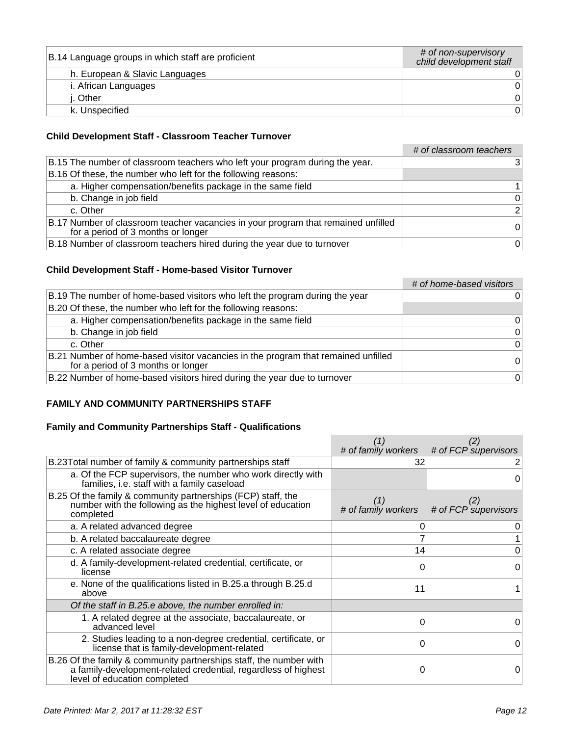| B.14 Language groups in which staff are proficient | # of non-supervisory<br>child development staff |
|----------------------------------------------------|-------------------------------------------------|
| h. European & Slavic Languages                     |                                                 |
| i. African Languages                               |                                                 |
| i. Other                                           |                                                 |
| k. Unspecified                                     |                                                 |

### **Child Development Staff - Classroom Teacher Turnover**

|                                                                                                                         | # of classroom teachers |
|-------------------------------------------------------------------------------------------------------------------------|-------------------------|
| B.15 The number of classroom teachers who left your program during the year.                                            | 31                      |
| B.16 Of these, the number who left for the following reasons:                                                           |                         |
| a. Higher compensation/benefits package in the same field                                                               |                         |
| b. Change in job field                                                                                                  | $\overline{0}$          |
| c. Other                                                                                                                | $\overline{2}$          |
| B.17 Number of classroom teacher vacancies in your program that remained unfilled<br>for a period of 3 months or longer | $\Omega$                |
| B.18 Number of classroom teachers hired during the year due to turnover                                                 | 0                       |

#### **Child Development Staff - Home-based Visitor Turnover**

|                                                                                                                         | # of home-based visitors |
|-------------------------------------------------------------------------------------------------------------------------|--------------------------|
| B.19 The number of home-based visitors who left the program during the year                                             |                          |
| B.20 Of these, the number who left for the following reasons:                                                           |                          |
| a. Higher compensation/benefits package in the same field                                                               | $\overline{0}$           |
| b. Change in job field                                                                                                  | 0                        |
| c. Other                                                                                                                | $\Omega$                 |
| B.21 Number of home-based visitor vacancies in the program that remained unfilled<br>for a period of 3 months or longer | $\Omega$                 |
| B.22 Number of home-based visitors hired during the year due to turnover                                                | $\overline{0}$           |

### **FAMILY AND COMMUNITY PARTNERSHIPS STAFF**

### **Family and Community Partnerships Staff - Qualifications**

|                                                                                                                                                                      | # of family workers | (2)<br># of FCP supervisors |
|----------------------------------------------------------------------------------------------------------------------------------------------------------------------|---------------------|-----------------------------|
|                                                                                                                                                                      |                     |                             |
| B.23 Total number of family & community partnerships staff                                                                                                           | 32                  |                             |
| a. Of the FCP supervisors, the number who work directly with<br>families, i.e. staff with a family caseload                                                          |                     | 0                           |
| B.25 Of the family & community partnerships (FCP) staff, the<br>number with the following as the highest level of education<br>completed                             | # of family workers | # of FCP supervisors        |
| a. A related advanced degree                                                                                                                                         |                     |                             |
| b. A related baccalaureate degree                                                                                                                                    |                     |                             |
| c. A related associate degree                                                                                                                                        | 14                  | 0                           |
| d. A family-development-related credential, certificate, or<br>license                                                                                               |                     | 0                           |
| e. None of the qualifications listed in B.25.a through B.25.d<br>above                                                                                               | 11                  |                             |
| Of the staff in B.25.e above, the number enrolled in:                                                                                                                |                     |                             |
| 1. A related degree at the associate, baccalaureate, or<br>advanced level                                                                                            | O                   | 0                           |
| 2. Studies leading to a non-degree credential, certificate, or<br>license that is family-development-related                                                         | 0                   | 0                           |
| B.26 Of the family & community partnerships staff, the number with<br>a family-development-related credential, regardless of highest<br>level of education completed |                     | 0                           |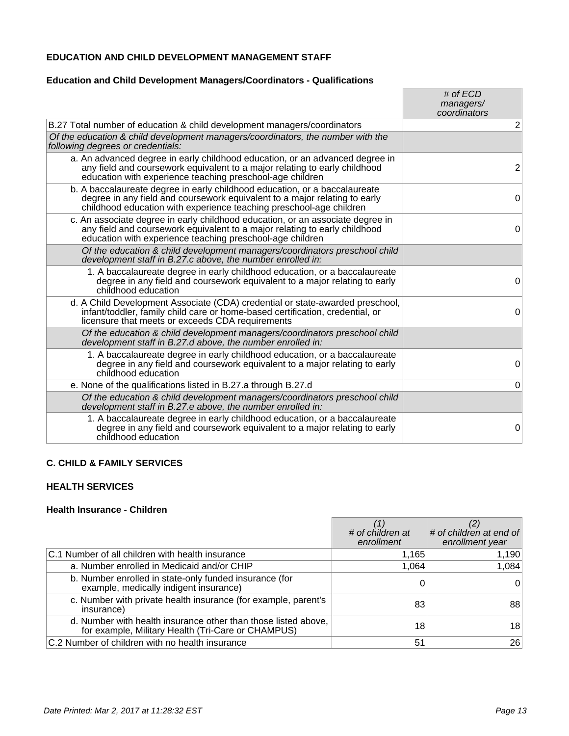### **EDUCATION AND CHILD DEVELOPMENT MANAGEMENT STAFF**

### **Education and Child Development Managers/Coordinators - Qualifications**

|                                                                                                                                                                                                                                 | # of $ECD$<br>managers/<br>coordinators |
|---------------------------------------------------------------------------------------------------------------------------------------------------------------------------------------------------------------------------------|-----------------------------------------|
| B.27 Total number of education & child development managers/coordinators                                                                                                                                                        | 2                                       |
| Of the education & child development managers/coordinators, the number with the<br>following degrees or credentials:                                                                                                            |                                         |
| a. An advanced degree in early childhood education, or an advanced degree in<br>any field and coursework equivalent to a major relating to early childhood<br>education with experience teaching preschool-age children         | $\overline{2}$                          |
| b. A baccalaureate degree in early childhood education, or a baccalaureate<br>degree in any field and coursework equivalent to a major relating to early<br>childhood education with experience teaching preschool-age children | 0                                       |
| c. An associate degree in early childhood education, or an associate degree in<br>any field and coursework equivalent to a major relating to early childhood<br>education with experience teaching preschool-age children       | $\Omega$                                |
| Of the education & child development managers/coordinators preschool child<br>development staff in B.27.c above, the number enrolled in:                                                                                        |                                         |
| 1. A baccalaureate degree in early childhood education, or a baccalaureate<br>degree in any field and coursework equivalent to a major relating to early<br>childhood education                                                 | 0                                       |
| d. A Child Development Associate (CDA) credential or state-awarded preschool,<br>infant/toddler, family child care or home-based certification, credential, or<br>licensure that meets or exceeds CDA requirements              | 0                                       |
| Of the education & child development managers/coordinators preschool child<br>development staff in B.27.d above, the number enrolled in:                                                                                        |                                         |
| 1. A baccalaureate degree in early childhood education, or a baccalaureate<br>degree in any field and coursework equivalent to a major relating to early<br>childhood education                                                 | 0                                       |
| e. None of the qualifications listed in B.27.a through B.27.d                                                                                                                                                                   | 0                                       |
| Of the education & child development managers/coordinators preschool child<br>development staff in B.27.e above, the number enrolled in:                                                                                        |                                         |
| 1. A baccalaureate degree in early childhood education, or a baccalaureate<br>degree in any field and coursework equivalent to a major relating to early<br>childhood education                                                 | $\mathbf 0$                             |

### **C. CHILD & FAMILY SERVICES**

### **HEALTH SERVICES**

#### **Health Insurance - Children**

|                                                                                                                      | # of children at<br>enrollment | # of children at end of<br>enrollment year |
|----------------------------------------------------------------------------------------------------------------------|--------------------------------|--------------------------------------------|
| C.1 Number of all children with health insurance                                                                     | 1,165                          | 1,190                                      |
| a. Number enrolled in Medicaid and/or CHIP                                                                           | 1,064                          | 1,084                                      |
| b. Number enrolled in state-only funded insurance (for<br>example, medically indigent insurance)                     |                                | 0                                          |
| c. Number with private health insurance (for example, parent's<br>insurance)                                         | 83                             | 88                                         |
| d. Number with health insurance other than those listed above,<br>for example, Military Health (Tri-Care or CHAMPUS) | 18                             | 18                                         |
| C.2 Number of children with no health insurance                                                                      | 51                             | 26                                         |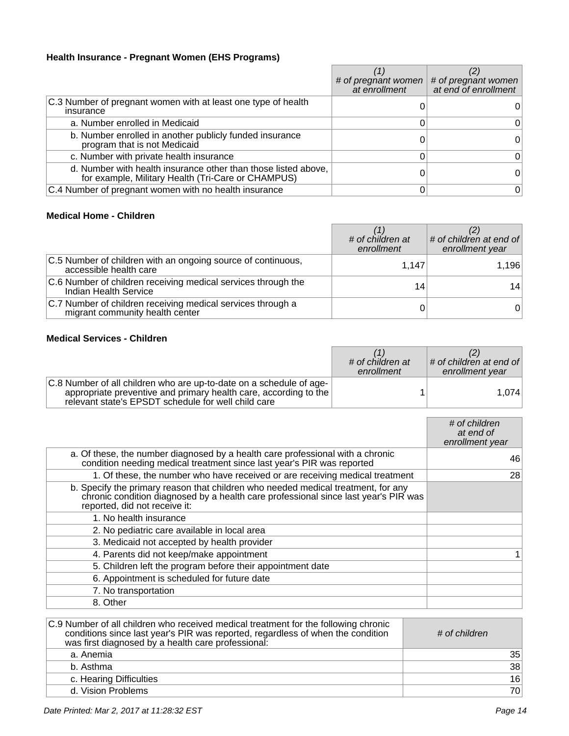### **Health Insurance - Pregnant Women (EHS Programs)**

|                                                                                                                      | # of pregnant women $ $<br>at enrollment | # of pregnant women<br>at end of enrollment |
|----------------------------------------------------------------------------------------------------------------------|------------------------------------------|---------------------------------------------|
| C.3 Number of pregnant women with at least one type of health<br>insurance                                           |                                          |                                             |
| a. Number enrolled in Medicaid                                                                                       |                                          |                                             |
| b. Number enrolled in another publicly funded insurance<br>program that is not Medicaid                              |                                          |                                             |
| c. Number with private health insurance                                                                              |                                          |                                             |
| d. Number with health insurance other than those listed above,<br>for example, Military Health (Tri-Care or CHAMPUS) |                                          |                                             |
| C.4 Number of pregnant women with no health insurance                                                                |                                          | 0                                           |

### **Medical Home - Children**

|                                                                                                | # of children at<br>enrollment | # of children at end of<br>enrollment year |
|------------------------------------------------------------------------------------------------|--------------------------------|--------------------------------------------|
| C.5 Number of children with an ongoing source of continuous,<br>accessible health care         | 1.147                          | 1,196                                      |
| C.6 Number of children receiving medical services through the<br>Indian Health Service         | 14                             | 14                                         |
| C.7 Number of children receiving medical services through a<br>migrant community health center |                                | $0^{\scriptscriptstyle \dagger}$           |

### **Medical Services - Children**

|                                                                                                                                                                                                | # of children at<br>enrollment | $\#$ of children at end of<br>enrollment year |
|------------------------------------------------------------------------------------------------------------------------------------------------------------------------------------------------|--------------------------------|-----------------------------------------------|
| C.8 Number of all children who are up-to-date on a schedule of age-<br>appropriate preventive and primary health care, according to the<br>relevant state's EPSDT schedule for well child care |                                | 1.074                                         |

|                                                                                                                                                                                                           | # of children<br>at end of<br>enrollment year |
|-----------------------------------------------------------------------------------------------------------------------------------------------------------------------------------------------------------|-----------------------------------------------|
| a. Of these, the number diagnosed by a health care professional with a chronic<br>condition needing medical treatment since last year's PIR was reported                                                  | 46                                            |
| 1. Of these, the number who have received or are receiving medical treatment                                                                                                                              | 28                                            |
| b. Specify the primary reason that children who needed medical treatment, for any<br>chronic condition diagnosed by a health care professional since last year's PIR was<br>reported, did not receive it: |                                               |
| 1. No health insurance                                                                                                                                                                                    |                                               |
| 2. No pediatric care available in local area                                                                                                                                                              |                                               |
| 3. Medicaid not accepted by health provider                                                                                                                                                               |                                               |
| 4. Parents did not keep/make appointment                                                                                                                                                                  |                                               |
| 5. Children left the program before their appointment date                                                                                                                                                |                                               |
| 6. Appointment is scheduled for future date                                                                                                                                                               |                                               |
| 7. No transportation                                                                                                                                                                                      |                                               |
| 8. Other                                                                                                                                                                                                  |                                               |

| C.9 Number of all children who received medical treatment for the following chronic<br>conditions since last year's PIR was reported, regardless of when the condition<br>was first diagnosed by a health care professional: | # of children |
|------------------------------------------------------------------------------------------------------------------------------------------------------------------------------------------------------------------------------|---------------|
| a. Anemia                                                                                                                                                                                                                    | 35            |
| b. Asthma                                                                                                                                                                                                                    | 38            |
| c. Hearing Difficulties                                                                                                                                                                                                      | 16            |
| d. Vision Problems                                                                                                                                                                                                           | 70            |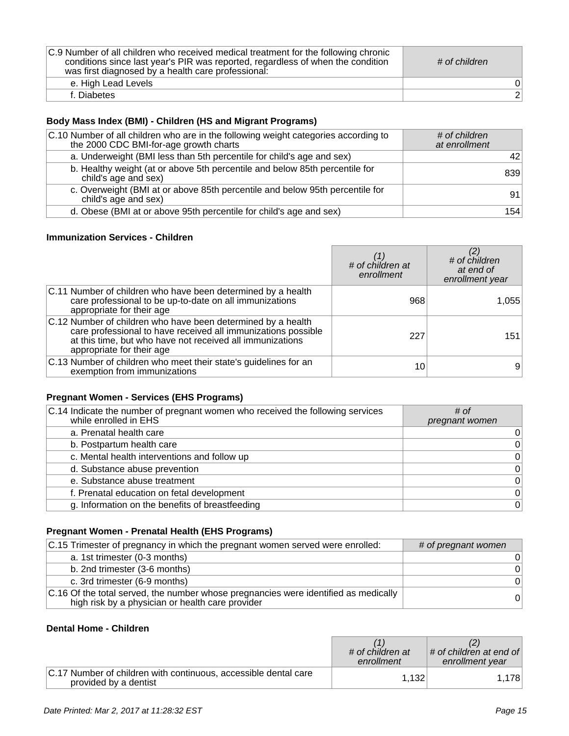| C.9 Number of all children who received medical treatment for the following chronic<br>conditions since last year's PIR was reported, regardless of when the condition<br>was first diagnosed by a health care professional: | # of children  |
|------------------------------------------------------------------------------------------------------------------------------------------------------------------------------------------------------------------------------|----------------|
| e. High Lead Levels                                                                                                                                                                                                          |                |
| f. Diabetes                                                                                                                                                                                                                  | $\overline{2}$ |

# **Body Mass Index (BMI) - Children (HS and Migrant Programs)**

| C.10 Number of all children who are in the following weight categories according to<br>the 2000 CDC BMI-for-age growth charts | # of children<br>at enrollment |
|-------------------------------------------------------------------------------------------------------------------------------|--------------------------------|
| a. Underweight (BMI less than 5th percentile for child's age and sex)                                                         | 421                            |
| b. Healthy weight (at or above 5th percentile and below 85th percentile for<br>child's age and sex)                           | 839                            |
| c. Overweight (BMI at or above 85th percentile and below 95th percentile for<br>child's age and sex)                          | 91                             |
| d. Obese (BMI at or above 95th percentile for child's age and sex)                                                            | 154                            |

### **Immunization Services - Children**

|                                                                                                                                                                                                                         | # of children at<br>enrollment | $\sharp$ of children<br>at end of<br>enrollment year |
|-------------------------------------------------------------------------------------------------------------------------------------------------------------------------------------------------------------------------|--------------------------------|------------------------------------------------------|
| C.11 Number of children who have been determined by a health<br>care professional to be up-to-date on all immunizations<br>appropriate for their age                                                                    | 968                            | 1,055                                                |
| C.12 Number of children who have been determined by a health<br>care professional to have received all immunizations possible<br>at this time, but who have not received all immunizations<br>appropriate for their age | 227                            | 151                                                  |
| C.13 Number of children who meet their state's guidelines for an<br>exemption from immunizations                                                                                                                        | 10                             | 9                                                    |

# **Pregnant Women - Services (EHS Programs)**

| C.14 Indicate the number of pregnant women who received the following services<br>while enrolled in EHS | # of<br>pregnant women |
|---------------------------------------------------------------------------------------------------------|------------------------|
| a. Prenatal health care                                                                                 | 0                      |
| b. Postpartum health care                                                                               | 0                      |
| c. Mental health interventions and follow up                                                            | 0                      |
| d. Substance abuse prevention                                                                           | $\mathsf 0$            |
| e. Substance abuse treatment                                                                            | $\mathsf 0$            |
| f. Prenatal education on fetal development                                                              | $\mathsf 0$            |
| g. Information on the benefits of breastfeeding                                                         | $\pmb{0}$              |

### **Pregnant Women - Prenatal Health (EHS Programs)**

| C.15 Trimester of pregnancy in which the pregnant women served were enrolled:                                                           | # of pregnant women |
|-----------------------------------------------------------------------------------------------------------------------------------------|---------------------|
| a. 1st trimester (0-3 months)                                                                                                           | 0                   |
| b. 2nd trimester (3-6 months)                                                                                                           | $\Omega$            |
| c. 3rd trimester (6-9 months)                                                                                                           | $\Omega$            |
| C.16 Of the total served, the number whose pregnancies were identified as medically<br>high risk by a physician or health care provider | $\Omega$            |

#### **Dental Home - Children**

|                                                                                          | # of children at<br>enrollment | $\#$ of children at end of<br>enrollment year |
|------------------------------------------------------------------------------------------|--------------------------------|-----------------------------------------------|
| C.17 Number of children with continuous, accessible dental care<br>provided by a dentist | 1,132                          | 1,178                                         |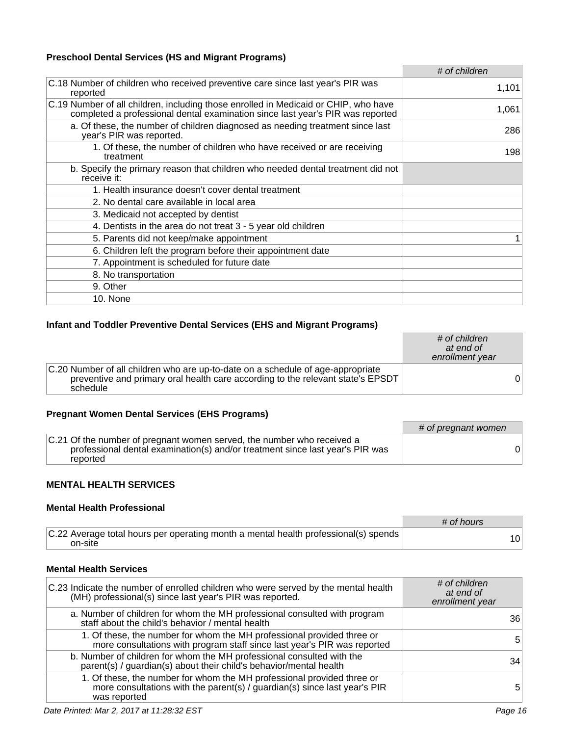### **Preschool Dental Services (HS and Migrant Programs)**

|                                                                                                                                                                       | # of children |
|-----------------------------------------------------------------------------------------------------------------------------------------------------------------------|---------------|
| C.18 Number of children who received preventive care since last year's PIR was<br>reported                                                                            | 1,101         |
| C.19 Number of all children, including those enrolled in Medicaid or CHIP, who have<br>completed a professional dental examination since last year's PIR was reported | 1,061         |
| a. Of these, the number of children diagnosed as needing treatment since last<br>year's PIR was reported.                                                             | 286           |
| 1. Of these, the number of children who have received or are receiving<br>treatment                                                                                   | 198           |
| b. Specify the primary reason that children who needed dental treatment did not<br>receive it:                                                                        |               |
| 1. Health insurance doesn't cover dental treatment                                                                                                                    |               |
| 2. No dental care available in local area                                                                                                                             |               |
| 3. Medicaid not accepted by dentist                                                                                                                                   |               |
| 4. Dentists in the area do not treat 3 - 5 year old children                                                                                                          |               |
| 5. Parents did not keep/make appointment                                                                                                                              |               |
| 6. Children left the program before their appointment date                                                                                                            |               |
| 7. Appointment is scheduled for future date                                                                                                                           |               |
| 8. No transportation                                                                                                                                                  |               |
| 9. Other                                                                                                                                                              |               |
| 10. None                                                                                                                                                              |               |

### **Infant and Toddler Preventive Dental Services (EHS and Migrant Programs)**

|                                                                                                                                                                                | # of children<br>at end of<br>enrollment year |    |
|--------------------------------------------------------------------------------------------------------------------------------------------------------------------------------|-----------------------------------------------|----|
| C.20 Number of all children who are up-to-date on a schedule of age-appropriate<br>preventive and primary oral health care according to the relevant state's EPSDT<br>schedule |                                               | 01 |

### **Pregnant Women Dental Services (EHS Programs)**

|                                                                                                                                                                     | $#$ of pregnant women |
|---------------------------------------------------------------------------------------------------------------------------------------------------------------------|-----------------------|
| C.21 Of the number of pregnant women served, the number who received a<br>professional dental examination(s) and/or treatment since last year's PIR was<br>reported |                       |

### **MENTAL HEALTH SERVICES**

### **Mental Health Professional**

|                                                                                                | # of hours      |
|------------------------------------------------------------------------------------------------|-----------------|
| C.22 Average total hours per operating month a mental health professional(s) spends<br>on-site | 10 <sup>1</sup> |

### **Mental Health Services**

| C.23 Indicate the number of enrolled children who were served by the mental health<br>(MH) professional(s) since last year's PIR was reported.                   | # of children<br>at end of<br>enrollment year |
|------------------------------------------------------------------------------------------------------------------------------------------------------------------|-----------------------------------------------|
| a. Number of children for whom the MH professional consulted with program<br>staff about the child's behavior / mental health                                    | 36                                            |
| 1. Of these, the number for whom the MH professional provided three or<br>more consultations with program staff since last year's PIR was reported               | 5                                             |
| b. Number of children for whom the MH professional consulted with the<br>parent(s) / guardian(s) about their child's behavior/mental health                      | 34                                            |
| 1. Of these, the number for whom the MH professional provided three or more consultations with the parent(s) / guardian(s) since last year's PIR<br>was reported | 5                                             |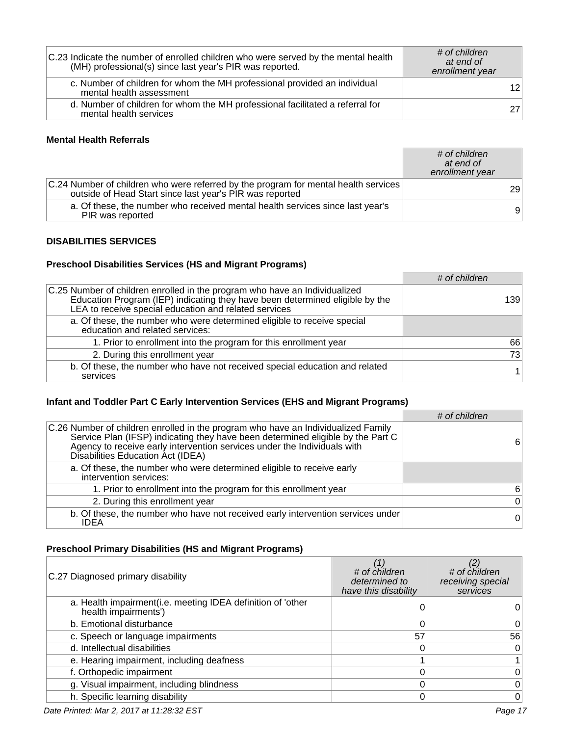| C.23 Indicate the number of enrolled children who were served by the mental health<br>(MH) professional(s) since last year's PIR was reported. | # of children<br>at end of<br>enrollment year |
|------------------------------------------------------------------------------------------------------------------------------------------------|-----------------------------------------------|
| c. Number of children for whom the MH professional provided an individual<br>mental health assessment                                          | 12                                            |
| d. Number of children for whom the MH professional facilitated a referral for<br>mental health services                                        | 27                                            |

#### **Mental Health Referrals**

|                                                                                                                                                 | # of children<br>at end of<br>enrollment year |
|-------------------------------------------------------------------------------------------------------------------------------------------------|-----------------------------------------------|
| C.24 Number of children who were referred by the program for mental health services<br>outside of Head Start since last year's PIR was reported | 291                                           |
| a. Of these, the number who received mental health services since last year's<br>PIR was reported                                               | 9                                             |

### **DISABILITIES SERVICES**

# **Preschool Disabilities Services (HS and Migrant Programs)**

|                                                                                                                                                                                                                     | # of children |
|---------------------------------------------------------------------------------------------------------------------------------------------------------------------------------------------------------------------|---------------|
| C.25 Number of children enrolled in the program who have an Individualized<br>Education Program (IEP) indicating they have been determined eligible by the<br>LEA to receive special education and related services | 139           |
| a. Of these, the number who were determined eligible to receive special<br>education and related services:                                                                                                          |               |
| 1. Prior to enrollment into the program for this enrollment year                                                                                                                                                    | 66            |
| 2. During this enrollment year                                                                                                                                                                                      | 73            |
| b. Of these, the number who have not received special education and related<br>services                                                                                                                             |               |

# **Infant and Toddler Part C Early Intervention Services (EHS and Migrant Programs)**

|                                                                                                                                                                                                                                                                                       | # of children  |
|---------------------------------------------------------------------------------------------------------------------------------------------------------------------------------------------------------------------------------------------------------------------------------------|----------------|
| C.26 Number of children enrolled in the program who have an Individualized Family<br>Service Plan (IFSP) indicating they have been determined eligible by the Part C<br>Agency to receive early intervention services under the Individuals with<br>Disabilities Education Act (IDEA) | 61             |
| a. Of these, the number who were determined eligible to receive early<br>intervention services:                                                                                                                                                                                       |                |
| 1. Prior to enrollment into the program for this enrollment year                                                                                                                                                                                                                      | 6              |
| 2. During this enrollment year                                                                                                                                                                                                                                                        | $\overline{0}$ |
| b. Of these, the number who have not received early intervention services under<br>IDEA                                                                                                                                                                                               | $\Omega$       |

# **Preschool Primary Disabilities (HS and Migrant Programs)**

| C.27 Diagnosed primary disability                                                   | # of children<br>determined to<br>have this disability | # of children<br>receiving special<br>services |
|-------------------------------------------------------------------------------------|--------------------------------------------------------|------------------------------------------------|
| a. Health impairment(i.e. meeting IDEA definition of 'other<br>health impairments') |                                                        |                                                |
| b. Emotional disturbance                                                            |                                                        |                                                |
| c. Speech or language impairments                                                   | 57                                                     | 56                                             |
| d. Intellectual disabilities                                                        |                                                        | 0                                              |
| e. Hearing impairment, including deafness                                           |                                                        |                                                |
| f. Orthopedic impairment                                                            |                                                        |                                                |
| g. Visual impairment, including blindness                                           |                                                        |                                                |
| h. Specific learning disability                                                     |                                                        | 0                                              |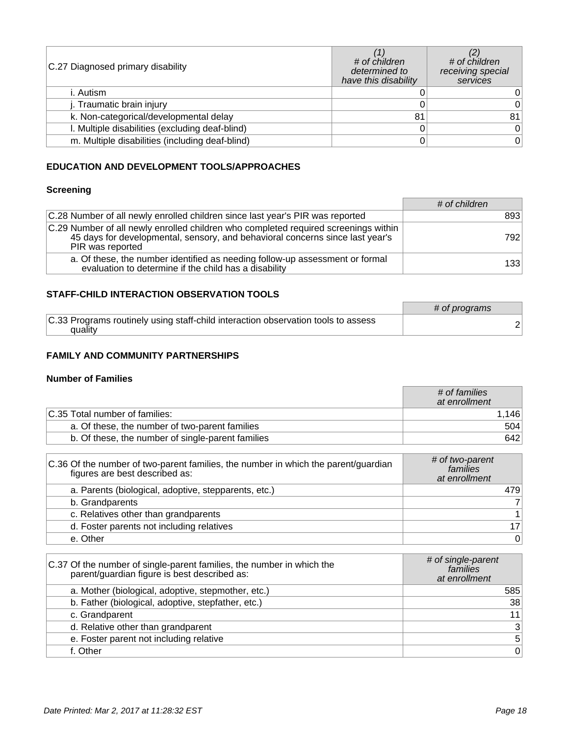| C.27 Diagnosed primary disability               | # of children<br>determined to<br>have this disability | # of children<br>receiving special<br>services |
|-------------------------------------------------|--------------------------------------------------------|------------------------------------------------|
| i. Autism                                       |                                                        |                                                |
| j. Traumatic brain injury                       |                                                        | 0                                              |
| k. Non-categorical/developmental delay          | 81                                                     | 81                                             |
| I. Multiple disabilities (excluding deaf-blind) |                                                        | 0                                              |
| m. Multiple disabilities (including deaf-blind) |                                                        | 0                                              |

### **EDUCATION AND DEVELOPMENT TOOLS/APPROACHES**

### **Screening**

|                                                                                                                                                                                          | # of children |
|------------------------------------------------------------------------------------------------------------------------------------------------------------------------------------------|---------------|
| C.28 Number of all newly enrolled children since last year's PIR was reported                                                                                                            | 893           |
| C.29 Number of all newly enrolled children who completed required screenings within<br>45 days for developmental, sensory, and behavioral concerns since last year's<br>PIR was reported | 792           |
| a. Of these, the number identified as needing follow-up assessment or formal<br>evaluation to determine if the child has a disability                                                    | 133           |

### **STAFF-CHILD INTERACTION OBSERVATION TOOLS**

|                                                                                              | # of programs |
|----------------------------------------------------------------------------------------------|---------------|
| C.33 Programs routinely using staff-child interaction observation tools to assess<br>quality |               |

### **FAMILY AND COMMUNITY PARTNERSHIPS**

#### **Number of Families**

|                                                   | # of families<br>at enrollment |
|---------------------------------------------------|--------------------------------|
| C.35 Total number of families:                    | .1461                          |
| a. Of these, the number of two-parent families    | 504                            |
| b. Of these, the number of single-parent families | 642                            |

| C.36 Of the number of two-parent families, the number in which the parent/guardian<br>figures are best described as: | # of two-parent<br>families<br>at enrollment |
|----------------------------------------------------------------------------------------------------------------------|----------------------------------------------|
| a. Parents (biological, adoptive, stepparents, etc.)                                                                 | 479                                          |
| b. Grandparents                                                                                                      | $\overline{7}$                               |
| c. Relatives other than grandparents                                                                                 |                                              |
| d. Foster parents not including relatives                                                                            | 17 <sup>1</sup>                              |
| e. Other                                                                                                             | $\Omega$                                     |

| C.37 Of the number of single-parent families, the number in which the<br>parent/guardian figure is best described as: | # of single-parent<br>families<br>at enrollment |
|-----------------------------------------------------------------------------------------------------------------------|-------------------------------------------------|
| a. Mother (biological, adoptive, stepmother, etc.)                                                                    | 585                                             |
| b. Father (biological, adoptive, stepfather, etc.)                                                                    | 38                                              |
| c. Grandparent                                                                                                        | 11                                              |
| d. Relative other than grandparent                                                                                    | 3                                               |
| e. Foster parent not including relative                                                                               | 5 <sup>1</sup>                                  |
| f. Other                                                                                                              | 0                                               |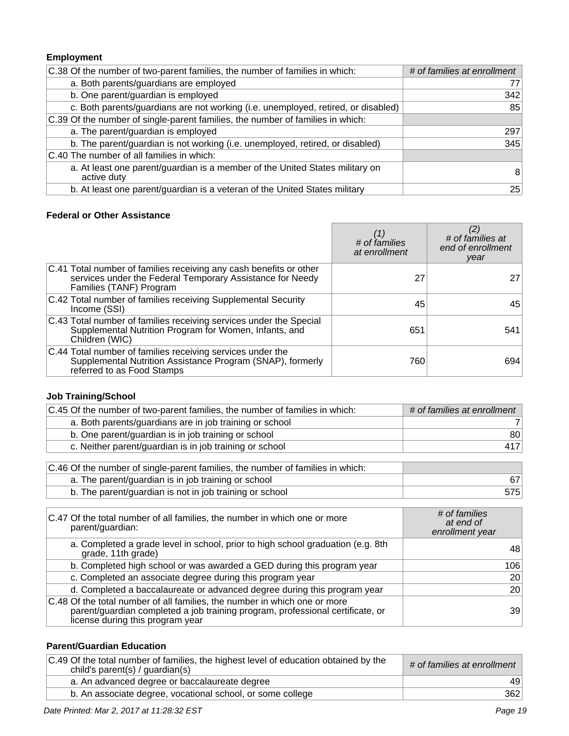# **Employment**

| C.38 Of the number of two-parent families, the number of families in which:                 | # of families at enrollment |
|---------------------------------------------------------------------------------------------|-----------------------------|
| a. Both parents/guardians are employed                                                      | 77                          |
| b. One parent/guardian is employed                                                          | 342                         |
| c. Both parents/guardians are not working (i.e. unemployed, retired, or disabled)           | 85                          |
| C.39 Of the number of single-parent families, the number of families in which:              |                             |
| a. The parent/guardian is employed                                                          | 297                         |
| b. The parent/guardian is not working (i.e. unemployed, retired, or disabled)               | 345                         |
| C.40 The number of all families in which:                                                   |                             |
| a. At least one parent/guardian is a member of the United States military on<br>active duty | 8                           |
| b. At least one parent/guardian is a veteran of the United States military                  | 25                          |

### **Federal or Other Assistance**

|                                                                                                                                                            | (1)<br># of families<br>at enrollment | # of families at<br>end of enrollment<br>year |
|------------------------------------------------------------------------------------------------------------------------------------------------------------|---------------------------------------|-----------------------------------------------|
| C.41 Total number of families receiving any cash benefits or other<br>services under the Federal Temporary Assistance for Needy<br>Families (TANF) Program | 27                                    | 27                                            |
| C.42 Total number of families receiving Supplemental Security<br>Income (SSI)                                                                              | 45                                    | 45                                            |
| C.43 Total number of families receiving services under the Special<br>Supplemental Nutrition Program for Women, Infants, and<br>Children (WIC)             | 651                                   | 541                                           |
| C.44 Total number of families receiving services under the<br>Supplemental Nutrition Assistance Program (SNAP), formerly<br>referred to as Food Stamps     | 760                                   | 694                                           |

### **Job Training/School**

| # of families at enrollment |
|-----------------------------|
|                             |
| 80                          |
| 417                         |
|                             |
|                             |
| 67                          |
| 575                         |
|                             |

| C.47 Of the total number of all families, the number in which one or more<br>parent/guardian:                                                                                                   | # of families<br>at end of<br>enrollment year |
|-------------------------------------------------------------------------------------------------------------------------------------------------------------------------------------------------|-----------------------------------------------|
| a. Completed a grade level in school, prior to high school graduation (e.g. 8th<br>grade, 11th grade)                                                                                           | 48                                            |
| b. Completed high school or was awarded a GED during this program year                                                                                                                          | 106                                           |
| c. Completed an associate degree during this program year                                                                                                                                       | 20                                            |
| d. Completed a baccalaureate or advanced degree during this program year                                                                                                                        | 20                                            |
| C.48 Of the total number of all families, the number in which one or more<br>parent/guardian completed a job training program, professional certificate, or<br>license during this program year | 39                                            |

### **Parent/Guardian Education**

| C.49 Of the total number of families, the highest level of education obtained by the<br>child's parent(s) / guardian(s) | # of families at enrollment |
|-------------------------------------------------------------------------------------------------------------------------|-----------------------------|
| a. An advanced degree or baccalaureate degree                                                                           | 49                          |
| b. An associate degree, vocational school, or some college                                                              | 362                         |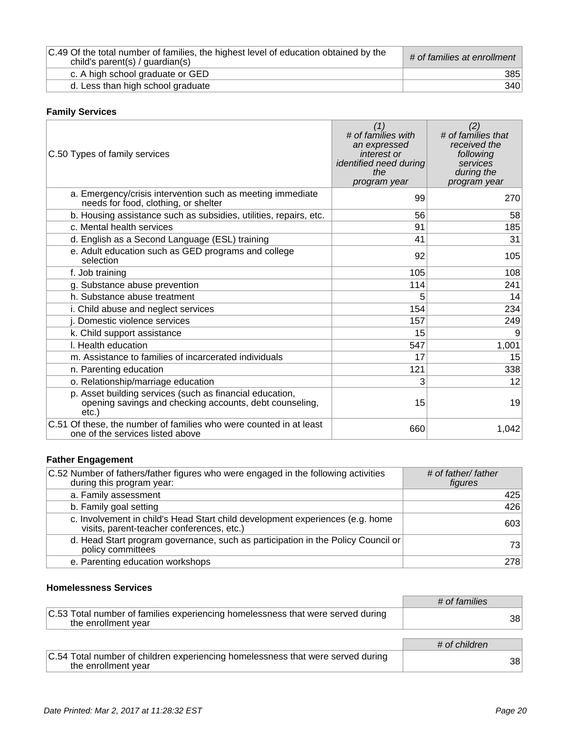| C.49 Of the total number of families, the highest level of education obtained by the<br>child's parent(s) / guardian(s) | # of families at enrollment |
|-------------------------------------------------------------------------------------------------------------------------|-----------------------------|
| c. A high school graduate or GED                                                                                        | 385                         |
| d. Less than high school graduate                                                                                       | 340                         |

### **Family Services**

| C.50 Types of family services                                                                                               | (1)<br># of families with<br>an expressed<br>interest or<br>identified need during<br>the<br>program year | (2)<br># of families that<br>received the<br>following<br>services<br>during the<br>program year |
|-----------------------------------------------------------------------------------------------------------------------------|-----------------------------------------------------------------------------------------------------------|--------------------------------------------------------------------------------------------------|
| a. Emergency/crisis intervention such as meeting immediate<br>needs for food, clothing, or shelter                          | 99                                                                                                        | 270                                                                                              |
| b. Housing assistance such as subsidies, utilities, repairs, etc.                                                           | 56                                                                                                        | 58                                                                                               |
| c. Mental health services                                                                                                   | 91                                                                                                        | 185                                                                                              |
| d. English as a Second Language (ESL) training                                                                              | 41                                                                                                        | 31                                                                                               |
| e. Adult education such as GED programs and college<br>selection                                                            | 92                                                                                                        | 105                                                                                              |
| f. Job training                                                                                                             | 105                                                                                                       | 108                                                                                              |
| g. Substance abuse prevention                                                                                               | 114                                                                                                       | 241                                                                                              |
| h. Substance abuse treatment                                                                                                | 5                                                                                                         | 14                                                                                               |
| i. Child abuse and neglect services                                                                                         | 154                                                                                                       | 234                                                                                              |
| j. Domestic violence services                                                                                               | 157                                                                                                       | 249                                                                                              |
| k. Child support assistance                                                                                                 | 15                                                                                                        | 9                                                                                                |
| I. Health education                                                                                                         | 547                                                                                                       | 1,001                                                                                            |
| m. Assistance to families of incarcerated individuals                                                                       | 17                                                                                                        | 15                                                                                               |
| n. Parenting education                                                                                                      | 121                                                                                                       | 338                                                                                              |
| o. Relationship/marriage education                                                                                          | 3                                                                                                         | 12                                                                                               |
| p. Asset building services (such as financial education,<br>opening savings and checking accounts, debt counseling,<br>etc. | 15                                                                                                        | 19                                                                                               |
| C.51 Of these, the number of families who were counted in at least<br>one of the services listed above                      | 660                                                                                                       | 1,042                                                                                            |

### **Father Engagement**

| C.52 Number of fathers/father figures who were engaged in the following activities<br>during this program year:            | # of father/ father<br>figures |
|----------------------------------------------------------------------------------------------------------------------------|--------------------------------|
| a. Family assessment                                                                                                       | 425                            |
| b. Family goal setting                                                                                                     | 426                            |
| c. Involvement in child's Head Start child development experiences (e.g. home<br>visits, parent-teacher conferences, etc.) | 603                            |
| d. Head Start program governance, such as participation in the Policy Council or<br>policy committees                      | 731                            |
| e. Parenting education workshops                                                                                           | 278                            |

### **Homelessness Services**

|                                                                                                        | # of families |
|--------------------------------------------------------------------------------------------------------|---------------|
| C.53 Total number of families experiencing homelessness that were served during<br>the enrollment year | 38            |
|                                                                                                        |               |
|                                                                                                        | # of children |
| C.54 Total number of children experiencing homelessness that were served during<br>the enrollment year | 38            |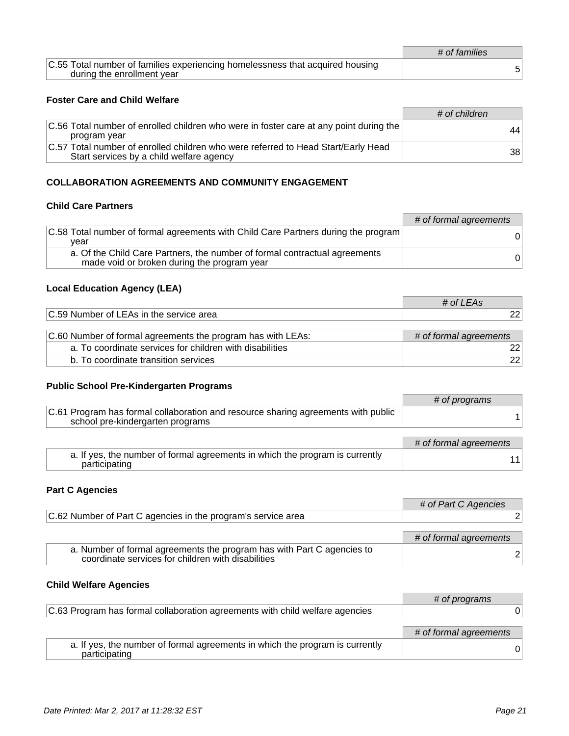|                                                                                                             | # of families |
|-------------------------------------------------------------------------------------------------------------|---------------|
| C.55 Total number of families experiencing homelessness that acquired housing<br>during the enrollment year |               |
|                                                                                                             |               |

### **Foster Care and Child Welfare**

|                                                                                                                               | # of children |
|-------------------------------------------------------------------------------------------------------------------------------|---------------|
| C.56 Total number of enrolled children who were in foster care at any point during the<br>program year                        | 44            |
| C.57 Total number of enrolled children who were referred to Head Start/Early Head<br>Start services by a child welfare agency | 381           |

#### **COLLABORATION AGREEMENTS AND COMMUNITY ENGAGEMENT**

### **Child Care Partners**

|                                                                                                                           | # of formal agreements |
|---------------------------------------------------------------------------------------------------------------------------|------------------------|
| C.58 Total number of formal agreements with Child Care Partners during the program<br>vear                                | 0                      |
| a. Of the Child Care Partners, the number of formal contractual agreements<br>made void or broken during the program year | $\Omega$               |

# **Local Education Agency (LEA)**

|                                                             | -ר⊿       |
|-------------------------------------------------------------|-----------|
| ∣∩ ⊼വ<br>service area<br>Number<br><b>HAS</b><br>ΩŤ<br>u le | <u>__</u> |
|                                                             |           |

| C.60 Number of formal agreements the program has with LEAs: | # of formal agreements |
|-------------------------------------------------------------|------------------------|
| a. To coordinate services for children with disabilities    | 221                    |
| b. To coordinate transition services                        | 221                    |

#### **Public School Pre-Kindergarten Programs**

|                                                                                                                       | # of programs          |
|-----------------------------------------------------------------------------------------------------------------------|------------------------|
| C.61 Program has formal collaboration and resource sharing agreements with public<br>school pre-kindergarten programs |                        |
|                                                                                                                       |                        |
|                                                                                                                       | # of formal agreements |
| a. If yes, the number of formal agreements in which the program is currently<br>participating                         |                        |

### **Part C Agencies**

|                                                                                                                              | # of Part C Agencies   |
|------------------------------------------------------------------------------------------------------------------------------|------------------------|
| C.62 Number of Part C agencies in the program's service area                                                                 |                        |
|                                                                                                                              |                        |
|                                                                                                                              | # of formal agreements |
| a. Number of formal agreements the program has with Part C agencies to<br>coordinate services for children with disabilities |                        |

### **Child Welfare Agencies**

|                                                                                               | # of programs          |
|-----------------------------------------------------------------------------------------------|------------------------|
| C.63 Program has formal collaboration agreements with child welfare agencies                  |                        |
|                                                                                               |                        |
|                                                                                               | # of formal agreements |
| a. If yes, the number of formal agreements in which the program is currently<br>participating | 01                     |